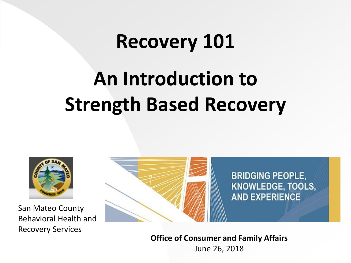# **Recovery 101 An Introduction to Strength Based Recovery**



San Mateo County Behavioral Health and Recovery Services



**Office of Consumer and Family Affairs** June 26, 2018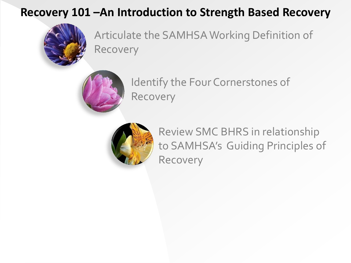### **Recovery 101 –An Introduction to Strength Based Recovery**



Articulate the SAMHSA Working Definition of Recovery



Identify the Four Cornerstones of Recovery



Review SMC BHRS in relationship to SAMHSA's Guiding Principles of Recovery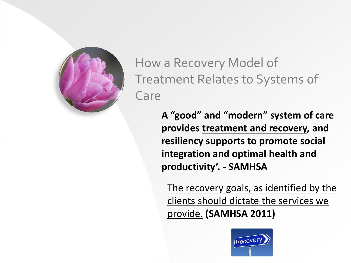

[How a](#page-2-0) Recovery Model of Treatment Relates to Systems of Care

> **A "good" and "modern" system of care provides treatment and recovery, and resiliency supports to promote social integration and optimal health and productivity'. - SAMHSA**

<span id="page-2-0"></span>The recovery goals, as identified by the clients should dictate the services we provide. **(SAMHSA 2011)**

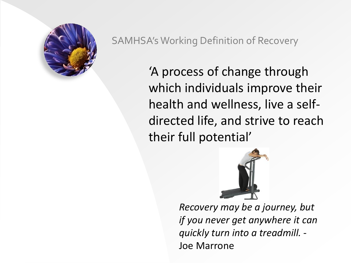

#### SAMHSA's Working Definition of Recovery

'A process of change through which individuals improve their health and wellness, live a selfdirected life, and strive to reach their full potential'



*Recovery may be a journey, but if you never get anywhere it can quickly turn into a treadmill. -* Joe Marrone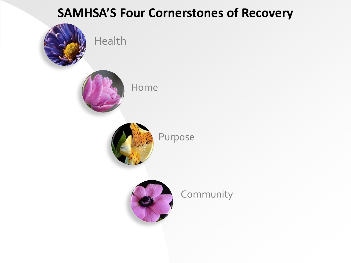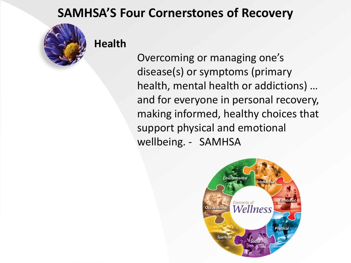

**Health**

 Overcoming or managing one's disease(s) or symptoms (primary health, mental health or addictions) … and for everyone in personal recovery, making informed, healthy choices that support physical and emotional wellbeing. - SAMHSA

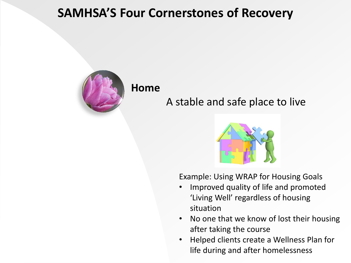

#### **Home**

### A stable and safe place to live



Example: Using WRAP for Housing Goals

- Improved quality of life and promoted 'Living Well' regardless of housing situation
- No one that we know of lost their housing after taking the course
- Helped clients create a Wellness Plan for life during and after homelessness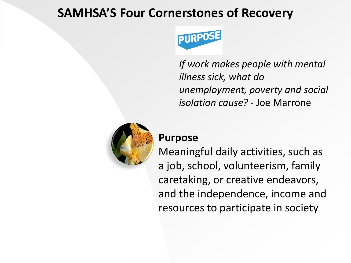

*If work makes people with mental illness sick, what do unemployment, poverty and social isolation cause? -* Joe Marrone



#### **Purpose**

Meaningful daily activities, such as a job, school, volunteerism, family caretaking, or creative endeavors, and the independence, income and resources to participate in society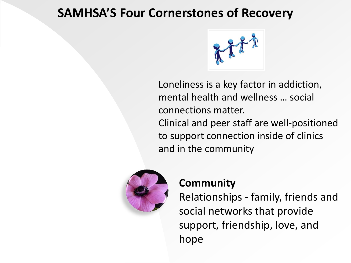

Loneliness is a key factor in addiction, mental health and wellness … social connections matter. Clinical and peer staff are well-positioned to support connection inside of clinics and in the community



#### **Community**

Relationships - family, friends and social networks that provide support, friendship, love, and hope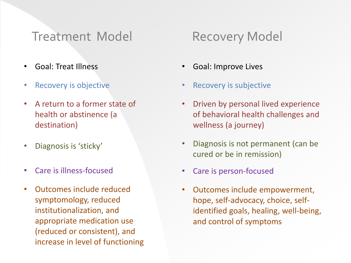### Treatment Model Recovery Model

- Goal: Treat Illness
- Recovery is objective
- A return to a former state of health or abstinence (a destination)
- Diagnosis is 'sticky'
- Care is illness-focused
- Outcomes include reduced symptomology, reduced institutionalization, and appropriate medication use (reduced or consistent), and increase in level of functioning

- Goal: Improve Lives
- Recovery is subjective
- Driven by personal lived experience of behavioral health challenges and wellness (a journey)
- Diagnosis is not permanent (can be cured or be in remission)
- Care is person-focused
- Outcomes include empowerment, hope, self-advocacy, choice, selfidentified goals, healing, well-being, and control of symptoms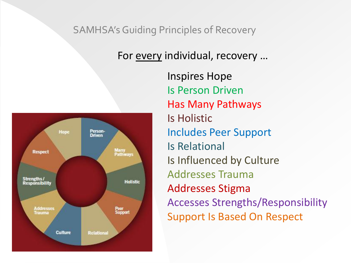#### SAMHSA's Guiding Principles of Recovery

#### For every individual, recovery …



Inspires Hope Is Person Driven Has Many Pathways Is Holistic Includes Peer Support Is Relational Is Influenced by Culture Addresses Trauma Addresses Stigma Accesses Strengths/Responsibility Support Is Based On Respect